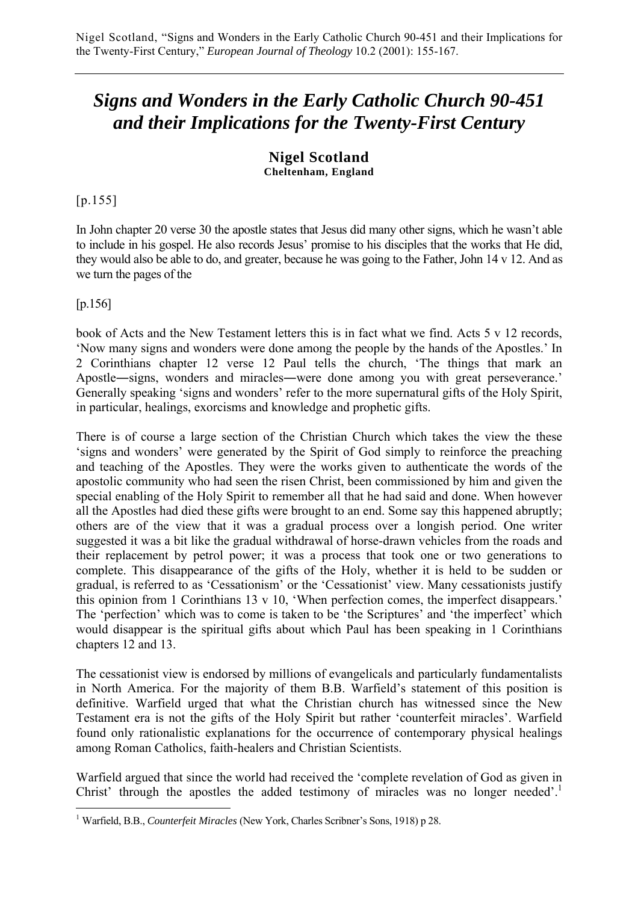# *Signs and Wonders in the Early Catholic Church 90-451 and their Implications for the Twenty-First Century*

#### **Nigel Scotland Cheltenham, England**

[p.155]

In John chapter 20 verse 30 the apostle states that Jesus did many other signs, which he wasn't able to include in his gospel. He also records Jesus' promise to his disciples that the works that He did, they would also be able to do, and greater, because he was going to the Father, John 14 v 12. And as we turn the pages of the

[p.156]

book of Acts and the New Testament letters this is in fact what we find. Acts 5 v 12 records, 'Now many signs and wonders were done among the people by the hands of the Apostles.' In 2 Corinthians chapter 12 verse 12 Paul tells the church, 'The things that mark an Apostle―signs, wonders and miracles―were done among you with great perseverance.' Generally speaking 'signs and wonders' refer to the more supernatural gifts of the Holy Spirit, in particular, healings, exorcisms and knowledge and prophetic gifts.

There is of course a large section of the Christian Church which takes the view the these 'signs and wonders' were generated by the Spirit of God simply to reinforce the preaching and teaching of the Apostles. They were the works given to authenticate the words of the apostolic community who had seen the risen Christ, been commissioned by him and given the special enabling of the Holy Spirit to remember all that he had said and done. When however all the Apostles had died these gifts were brought to an end. Some say this happened abruptly; others are of the view that it was a gradual process over a longish period. One writer suggested it was a bit like the gradual withdrawal of horse-drawn vehicles from the roads and their replacement by petrol power; it was a process that took one or two generations to complete. This disappearance of the gifts of the Holy, whether it is held to be sudden or gradual, is referred to as 'Cessationism' or the 'Cessationist' view. Many cessationists justify this opinion from 1 Corinthians 13 v 10, 'When perfection comes, the imperfect disappears.' The 'perfection' which was to come is taken to be 'the Scriptures' and 'the imperfect' which would disappear is the spiritual gifts about which Paul has been speaking in 1 Corinthians chapters 12 and 13.

The cessationist view is endorsed by millions of evangelicals and particularly fundamentalists in North America. For the majority of them B.B. Warfield's statement of this position is definitive. Warfield urged that what the Christian church has witnessed since the New Testament era is not the gifts of the Holy Spirit but rather 'counterfeit miracles'. Warfield found only rationalistic explanations for the occurrence of contemporary physical healings among Roman Catholics, faith-healers and Christian Scientists.

Warfield argued that since the world had received the 'complete revelation of God as given in Christ' through the apostles the added testimony of miracles was no longer needed'.<sup>1</sup>

 $\overline{a}$ <sup>1</sup> Warfield, B.B., *Counterfeit Miracles* (New York, Charles Scribner's Sons, 1918) p 28.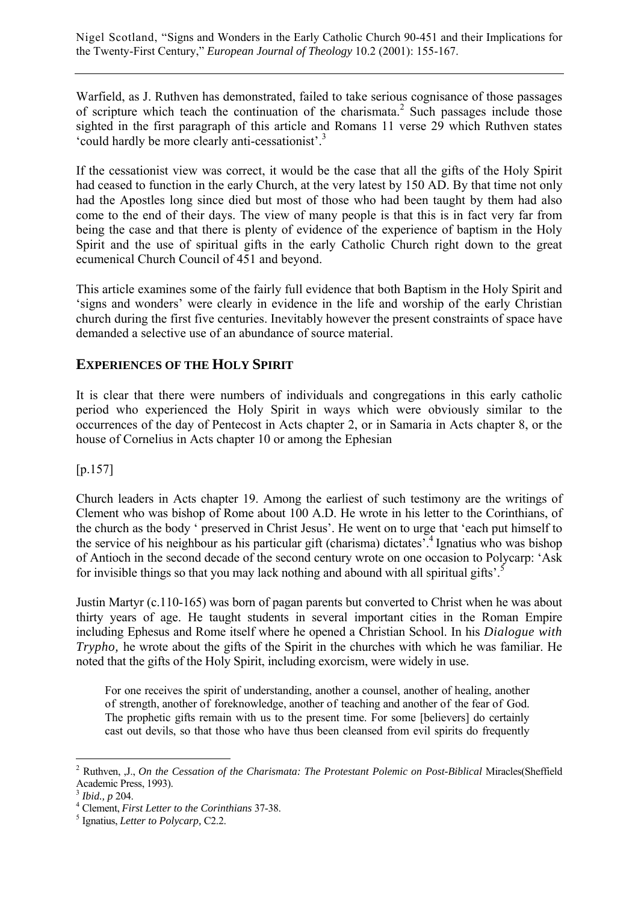Warfield, as J. Ruthven has demonstrated, failed to take serious cognisance of those passages of scripture which teach the continuation of the charismata.<sup>2</sup> Such passages include those sighted in the first paragraph of this article and Romans 11 verse 29 which Ruthven states 'could hardly be more clearly anti-cessationist'.3

If the cessationist view was correct, it would be the case that all the gifts of the Holy Spirit had ceased to function in the early Church, at the very latest by 150 AD. By that time not only had the Apostles long since died but most of those who had been taught by them had also come to the end of their days. The view of many people is that this is in fact very far from being the case and that there is plenty of evidence of the experience of baptism in the Holy Spirit and the use of spiritual gifts in the early Catholic Church right down to the great ecumenical Church Council of 451 and beyond.

This article examines some of the fairly full evidence that both Baptism in the Holy Spirit and 'signs and wonders' were clearly in evidence in the life and worship of the early Christian church during the first five centuries. Inevitably however the present constraints of space have demanded a selective use of an abundance of source material.

#### **EXPERIENCES OF THE HOLY SPIRIT**

It is clear that there were numbers of individuals and congregations in this early catholic period who experienced the Holy Spirit in ways which were obviously similar to the occurrences of the day of Pentecost in Acts chapter 2, or in Samaria in Acts chapter 8, or the house of Cornelius in Acts chapter 10 or among the Ephesian

[p.157]

Church leaders in Acts chapter 19. Among the earliest of such testimony are the writings of Clement who was bishop of Rome about 100 A.D. He wrote in his letter to the Corinthians, of the church as the body ' preserved in Christ Jesus'. He went on to urge that 'each put himself to the service of his neighbour as his particular gift (charisma) dictates'.4 Ignatius who was bishop of Antioch in the second decade of the second century wrote on one occasion to Polycarp: 'Ask for invisible things so that you may lack nothing and abound with all spiritual gifts'.<sup>5</sup>

Justin Martyr (c.110-165) was born of pagan parents but converted to Christ when he was about thirty years of age. He taught students in several important cities in the Roman Empire including Ephesus and Rome itself where he opened a Christian School. In his *Dialogue with Trypho*, he wrote about the gifts of the Spirit in the churches with which he was familiar. He noted that the gifts of the Holy Spirit, including exorcism, were widely in use.

For one receives the spirit of understanding, another a counsel, another of healing, another of strength, another of foreknowledge, another of teaching and another of the fear of God. The prophetic gifts remain with us to the present time. For some [believers] do certainly cast out devils, so that those who have thus been cleansed from evil spirits do frequently

 $\overline{a}$ 2 Ruthven, ,J., *On the Cessation of the Charismata: The Protestant Polemic on Post-Biblical* Miracles(Sheffield Academic Press, 1993).

<sup>3</sup> *Ibid., p* 204. 4

Clement, *First Letter to the Corinthians* 37-38. 5

Ignatius, *Letter to Polycarp,* C2.2.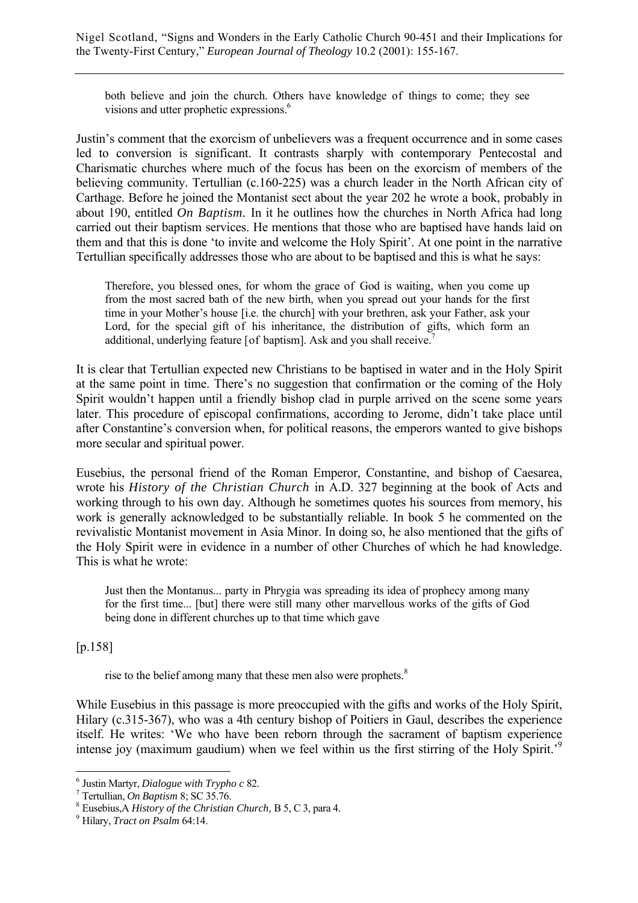both believe and join the church. Others have knowledge of things to come; they see visions and utter prophetic expressions.<sup>6</sup>

Justin's comment that the exorcism of unbelievers was a frequent occurrence and in some cases led to conversion is significant. It contrasts sharply with contemporary Pentecostal and Charismatic churches where much of the focus has been on the exorcism of members of the believing community. Tertullian (c.160-225) was a church leader in the North African city of Carthage. Before he joined the Montanist sect about the year 202 he wrote a book, probably in about 190, entitled *On Baptism.* In it he outlines how the churches in North Africa had long carried out their baptism services. He mentions that those who are baptised have hands laid on them and that this is done 'to invite and welcome the Holy Spirit'. At one point in the narrative Tertullian specifically addresses those who are about to be baptised and this is what he says:

Therefore, you blessed ones, for whom the grace of God is waiting, when you come up from the most sacred bath of the new birth, when you spread out your hands for the first time in your Mother's house [i.e. the church] with your brethren, ask your Father, ask your Lord, for the special gift of his inheritance, the distribution of gifts, which form an additional, underlying feature [of baptism]. Ask and you shall receive.<sup>7</sup>

It is clear that Tertullian expected new Christians to be baptised in water and in the Holy Spirit at the same point in time. There's no suggestion that confirmation or the coming of the Holy Spirit wouldn't happen until a friendly bishop clad in purple arrived on the scene some years later. This procedure of episcopal confirmations, according to Jerome, didn't take place until after Constantine's conversion when, for political reasons, the emperors wanted to give bishops more secular and spiritual power.

Eusebius, the personal friend of the Roman Emperor, Constantine, and bishop of Caesarea, wrote his *History of the Christian Church* in A.D. 327 beginning at the book of Acts and working through to his own day. Although he sometimes quotes his sources from memory, his work is generally acknowledged to be substantially reliable. In book 5 he commented on the revivalistic Montanist movement in Asia Minor. In doing so, he also mentioned that the gifts of the Holy Spirit were in evidence in a number of other Churches of which he had knowledge. This is what he wrote:

Just then the Montanus... party in Phrygia was spreading its idea of prophecy among many for the first time... [but] there were still many other marvellous works of the gifts of God being done in different churches up to that time which gave

[p.158]

 $\overline{a}$ 

rise to the belief among many that these men also were prophets.<sup>8</sup>

While Eusebius in this passage is more preoccupied with the gifts and works of the Holy Spirit, Hilary (c.315-367), who was a 4th century bishop of Poitiers in Gaul, describes the experience itself. He writes: 'We who have been reborn through the sacrament of baptism experience intense joy (maximum gaudium) when we feel within us the first stirring of the Holy Spirit.<sup>9</sup>

 $^6$  Justin Martyr, *Dialogue with Trypho c* 82.

Tertullian, *On Baptism* 8; SC 35.76. 8

Eusebius,A *History of the Christian Church,* B 5, C 3, para 4. 9

Hilary, *Tract on Psalm* 64:14.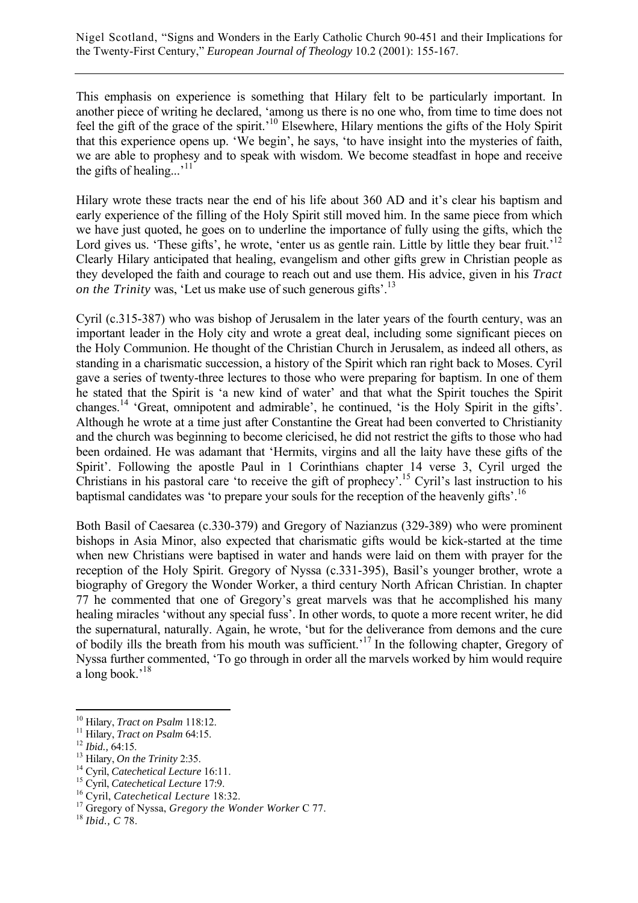This emphasis on experience is something that Hilary felt to be particularly important. In another piece of writing he declared, 'among us there is no one who, from time to time does not feel the gift of the grace of the spirit.'10 Elsewhere, Hilary mentions the gifts of the Holy Spirit that this experience opens up. 'We begin', he says, 'to have insight into the mysteries of faith, we are able to prophesy and to speak with wisdom. We become steadfast in hope and receive the gifts of healing... $,$ <sup>11</sup>

Hilary wrote these tracts near the end of his life about 360 AD and it's clear his baptism and early experience of the filling of the Holy Spirit still moved him. In the same piece from which we have just quoted, he goes on to underline the importance of fully using the gifts, which the Lord gives us. 'These gifts', he wrote, 'enter us as gentle rain. Little by little they bear fruit.'<sup>12</sup> Clearly Hilary anticipated that healing, evangelism and other gifts grew in Christian people as they developed the faith and courage to reach out and use them. His advice, given in his *Tract on the Trinity* was, 'Let us make use of such generous gifts'.<sup>13</sup>

Cyril (c.315-387) who was bishop of Jerusalem in the later years of the fourth century, was an important leader in the Holy city and wrote a great deal, including some significant pieces on the Holy Communion. He thought of the Christian Church in Jerusalem, as indeed all others, as standing in a charismatic succession, a history of the Spirit which ran right back to Moses. Cyril gave a series of twenty-three lectures to those who were preparing for baptism. In one of them he stated that the Spirit is 'a new kind of water' and that what the Spirit touches the Spirit changes.14 'Great, omnipotent and admirable', he continued, 'is the Holy Spirit in the gifts'. Although he wrote at a time just after Constantine the Great had been converted to Christianity and the church was beginning to become clericised, he did not restrict the gifts to those who had been ordained. He was adamant that 'Hermits, virgins and all the laity have these gifts of the Spirit'. Following the apostle Paul in 1 Corinthians chapter 14 verse 3, Cyril urged the Christians in his pastoral care 'to receive the gift of prophecy'.15 Cyril's last instruction to his baptismal candidates was 'to prepare your souls for the reception of the heavenly gifts'.<sup>16</sup>

Both Basil of Caesarea (c.330-379) and Gregory of Nazianzus (329-389) who were prominent bishops in Asia Minor, also expected that charismatic gifts would be kick-started at the time when new Christians were baptised in water and hands were laid on them with prayer for the reception of the Holy Spirit. Gregory of Nyssa (c.331-395), Basil's younger brother, wrote a biography of Gregory the Wonder Worker, a third century North African Christian. In chapter 77 he commented that one of Gregory's great marvels was that he accomplished his many healing miracles 'without any special fuss'. In other words, to quote a more recent writer, he did the supernatural, naturally. Again, he wrote, 'but for the deliverance from demons and the cure of bodily ills the breath from his mouth was sufficient.'17 In the following chapter, Gregory of Nyssa further commented, 'To go through in order all the marvels worked by him would require a long book.'18

<sup>&</sup>lt;sup>10</sup> Hilary, *Tract on Psalm* 118:12.<br>
<sup>11</sup> Hilary, *Tract on Psalm* 64:15.<br>
<sup>12</sup> *Ibid.*, 64:15.<br>
<sup>13</sup> Hilary, *On the Trinity* 2:35.<br>
<sup>14</sup> Cyril, *Catechetical Lecture* 16:11.<br>
<sup>15</sup> Cyril, *Catechetical Lecture* 17:9.<br>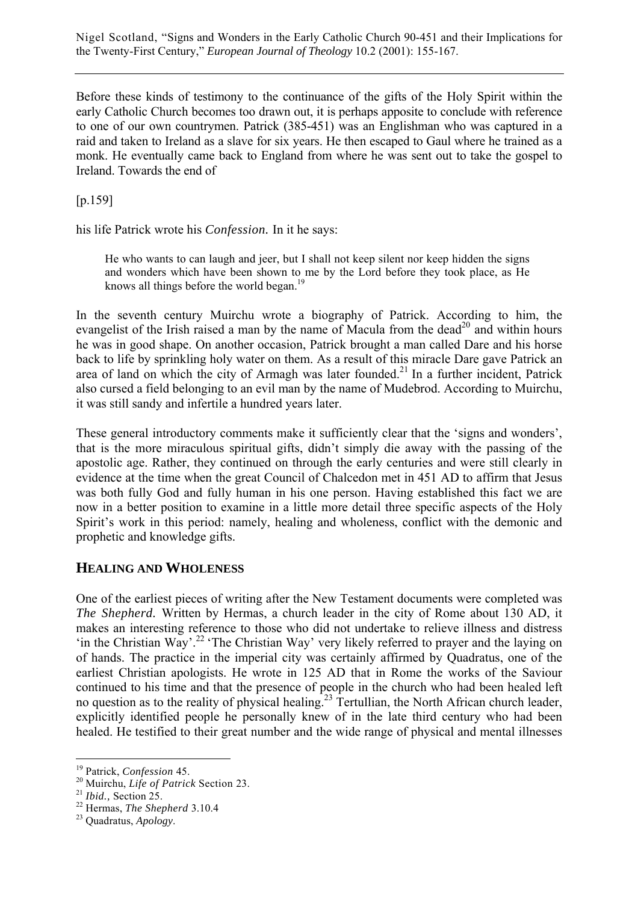Before these kinds of testimony to the continuance of the gifts of the Holy Spirit within the early Catholic Church becomes too drawn out, it is perhaps apposite to conclude with reference to one of our own countrymen. Patrick (385-451) was an Englishman who was captured in a raid and taken to Ireland as a slave for six years. He then escaped to Gaul where he trained as a monk. He eventually came back to England from where he was sent out to take the gospel to Ireland. Towards the end of

[p.159]

his life Patrick wrote his *Confession.* In it he says:

He who wants to can laugh and jeer, but I shall not keep silent nor keep hidden the signs and wonders which have been shown to me by the Lord before they took place, as He knows all things before the world began.<sup>19</sup>

In the seventh century Muirchu wrote a biography of Patrick. According to him, the evangelist of the Irish raised a man by the name of Macula from the dead<sup>20</sup> and within hours he was in good shape. On another occasion, Patrick brought a man called Dare and his horse back to life by sprinkling holy water on them. As a result of this miracle Dare gave Patrick an area of land on which the city of Armagh was later founded.<sup>21</sup> In a further incident, Patrick also cursed a field belonging to an evil man by the name of Mudebrod. According to Muirchu, it was still sandy and infertile a hundred years later.

These general introductory comments make it sufficiently clear that the 'signs and wonders', that is the more miraculous spiritual gifts, didn't simply die away with the passing of the apostolic age. Rather, they continued on through the early centuries and were still clearly in evidence at the time when the great Council of Chalcedon met in 451 AD to affirm that Jesus was both fully God and fully human in his one person. Having established this fact we are now in a better position to examine in a little more detail three specific aspects of the Holy Spirit's work in this period: namely, healing and wholeness, conflict with the demonic and prophetic and knowledge gifts.

## **HEALING AND WHOLENESS**

One of the earliest pieces of writing after the New Testament documents were completed was *The Shepherd.* Written by Hermas, a church leader in the city of Rome about 130 AD, it makes an interesting reference to those who did not undertake to relieve illness and distress 'in the Christian Way'.22 'The Christian Way' very likely referred to prayer and the laying on of hands. The practice in the imperial city was certainly affirmed by Quadratus, one of the earliest Christian apologists. He wrote in 125 AD that in Rome the works of the Saviour continued to his time and that the presence of people in the church who had been healed left no question as to the reality of physical healing.23 Tertullian, the North African church leader, explicitly identified people he personally knew of in the late third century who had been healed. He testified to their great number and the wide range of physical and mental illnesses

<sup>19</sup> Patrick, *Confession* 45. 20 Muirchu, *Life of Patrick* Section 23. 21 *Ibid.,* Section 25. 22 Hermas, *The Shepherd* 3.10.4 23 Quadratus, *Apology*.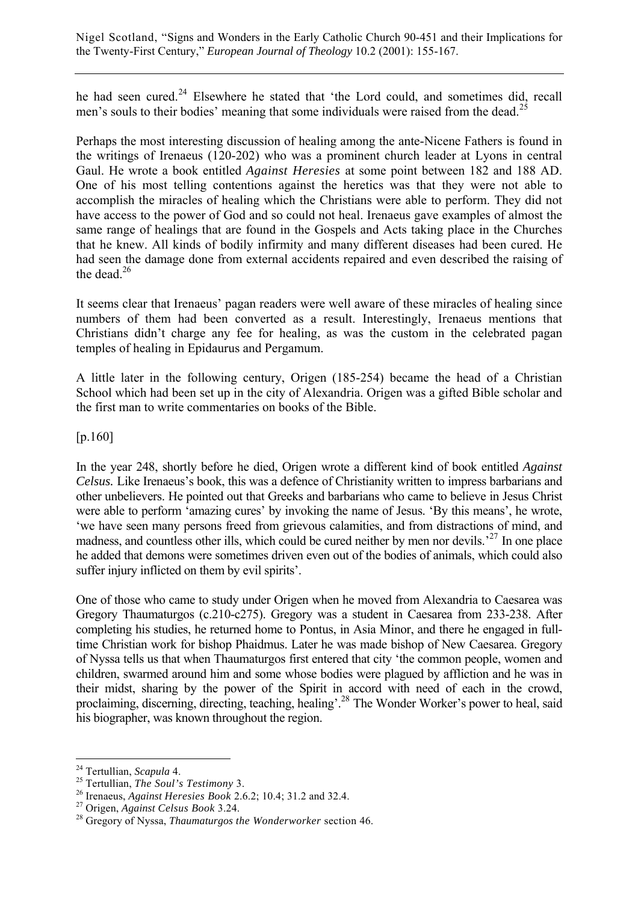he had seen cured.<sup>24</sup> Elsewhere he stated that 'the Lord could, and sometimes did, recall men's souls to their bodies' meaning that some individuals were raised from the dead.<sup>25</sup>

Perhaps the most interesting discussion of healing among the ante-Nicene Fathers is found in the writings of Irenaeus (120-202) who was a prominent church leader at Lyons in central Gaul. He wrote a book entitled *Against Heresies* at some point between 182 and 188 AD. One of his most telling contentions against the heretics was that they were not able to accomplish the miracles of healing which the Christians were able to perform. They did not have access to the power of God and so could not heal. Irenaeus gave examples of almost the same range of healings that are found in the Gospels and Acts taking place in the Churches that he knew. All kinds of bodily infirmity and many different diseases had been cured. He had seen the damage done from external accidents repaired and even described the raising of the dead. $26$ 

It seems clear that Irenaeus' pagan readers were well aware of these miracles of healing since numbers of them had been converted as a result. Interestingly, Irenaeus mentions that Christians didn't charge any fee for healing, as was the custom in the celebrated pagan temples of healing in Epidaurus and Pergamum.

A little later in the following century, Origen (185-254) became the head of a Christian School which had been set up in the city of Alexandria. Origen was a gifted Bible scholar and the first man to write commentaries on books of the Bible.

[p.160]

In the year 248, shortly before he died, Origen wrote a different kind of book entitled *Against Celsus.* Like Irenaeus's book, this was a defence of Christianity written to impress barbarians and other unbelievers. He pointed out that Greeks and barbarians who came to believe in Jesus Christ were able to perform 'amazing cures' by invoking the name of Jesus. 'By this means', he wrote, 'we have seen many persons freed from grievous calamities, and from distractions of mind, and madness, and countless other ills, which could be cured neither by men nor devils.<sup>27</sup> In one place he added that demons were sometimes driven even out of the bodies of animals, which could also suffer injury inflicted on them by evil spirits'.

One of those who came to study under Origen when he moved from Alexandria to Caesarea was Gregory Thaumaturgos (c.210-c275). Gregory was a student in Caesarea from 233-238. After completing his studies, he returned home to Pontus, in Asia Minor, and there he engaged in fulltime Christian work for bishop Phaidmus. Later he was made bishop of New Caesarea. Gregory of Nyssa tells us that when Thaumaturgos first entered that city 'the common people, women and children, swarmed around him and some whose bodies were plagued by affliction and he was in their midst, sharing by the power of the Spirit in accord with need of each in the crowd, proclaiming, discerning, directing, teaching, healing'.28 The Wonder Worker's power to heal, said his biographer, was known throughout the region.

<sup>&</sup>lt;sup>24</sup> Tertullian, Scapula 4.

<sup>&</sup>lt;sup>25</sup> Tertullian, *The Soul's Testimony* 3.<br><sup>26</sup> Irenaeus, *Against Heresies Book* 2.6.2; 10.4; 31.2 and 32.4.<br><sup>27</sup> Origen, *Against Celsus Book* 3.24.<br><sup>28</sup> Gregory of Nyssa, *Thaumaturgos the Wonderworker* section 46.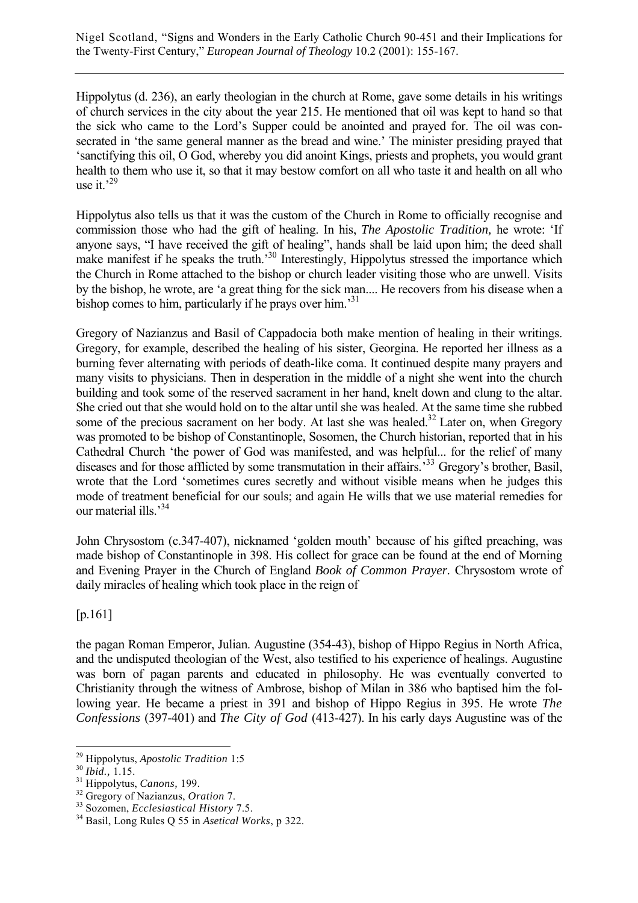Hippolytus (d. 236), an early theologian in the church at Rome, gave some details in his writings of church services in the city about the year 215. He mentioned that oil was kept to hand so that the sick who came to the Lord's Supper could be anointed and prayed for. The oil was consecrated in 'the same general manner as the bread and wine.' The minister presiding prayed that 'sanctifying this oil, O God, whereby you did anoint Kings, priests and prophets, you would grant health to them who use it, so that it may bestow comfort on all who taste it and health on all who use it. $^{29}$ 

Hippolytus also tells us that it was the custom of the Church in Rome to officially recognise and commission those who had the gift of healing. In his, *The Apostolic Tradition,* he wrote: 'If anyone says, "I have received the gift of healing", hands shall be laid upon him; the deed shall make manifest if he speaks the truth.<sup>30</sup> Interestingly, Hippolytus stressed the importance which the Church in Rome attached to the bishop or church leader visiting those who are unwell. Visits by the bishop, he wrote, are 'a great thing for the sick man.... He recovers from his disease when a bishop comes to him, particularly if he prays over him.<sup>31</sup>

Gregory of Nazianzus and Basil of Cappadocia both make mention of healing in their writings. Gregory, for example, described the healing of his sister, Georgina. He reported her illness as a burning fever alternating with periods of death-like coma. It continued despite many prayers and many visits to physicians. Then in desperation in the middle of a night she went into the church building and took some of the reserved sacrament in her hand, knelt down and clung to the altar. She cried out that she would hold on to the altar until she was healed. At the same time she rubbed some of the precious sacrament on her body. At last she was healed.<sup>32</sup> Later on, when Gregory was promoted to be bishop of Constantinople, Sosomen, the Church historian, reported that in his Cathedral Church 'the power of God was manifested, and was helpful... for the relief of many diseases and for those afflicted by some transmutation in their affairs.<sup>33</sup> Gregory's brother, Basil, wrote that the Lord 'sometimes cures secretly and without visible means when he judges this mode of treatment beneficial for our souls; and again He wills that we use material remedies for our material ills.<sup>34</sup>

John Chrysostom (c.347-407), nicknamed 'golden mouth' because of his gifted preaching, was made bishop of Constantinople in 398. His collect for grace can be found at the end of Morning and Evening Prayer in the Church of England *Book of Common Prayer.* Chrysostom wrote of daily miracles of healing which took place in the reign of

[p.161]

the pagan Roman Emperor, Julian. Augustine (354-43), bishop of Hippo Regius in North Africa, and the undisputed theologian of the West, also testified to his experience of healings. Augustine was born of pagan parents and educated in philosophy. He was eventually converted to Christianity through the witness of Ambrose, bishop of Milan in 386 who baptised him the following year. He became a priest in 391 and bishop of Hippo Regius in 395. He wrote *The Confessions* (397-401) and *The City of God* (413-427). In his early days Augustine was of the

 $\overline{a}$ 

<sup>&</sup>lt;sup>29</sup> Hippolytus, *Apostolic Tradition* 1:5<br><sup>30</sup> *Ibid.*, 1.15.<br><sup>31</sup> Hippolytus, *Canons*, 199.<br><sup>32</sup> Gregory of Nazianzus, *Oration* 7.<br><sup>33</sup> Sozomen, *Ecclesiastical History* 7.5.<br><sup>34</sup> Basil, Long Rules Q 55 in *Asetical W*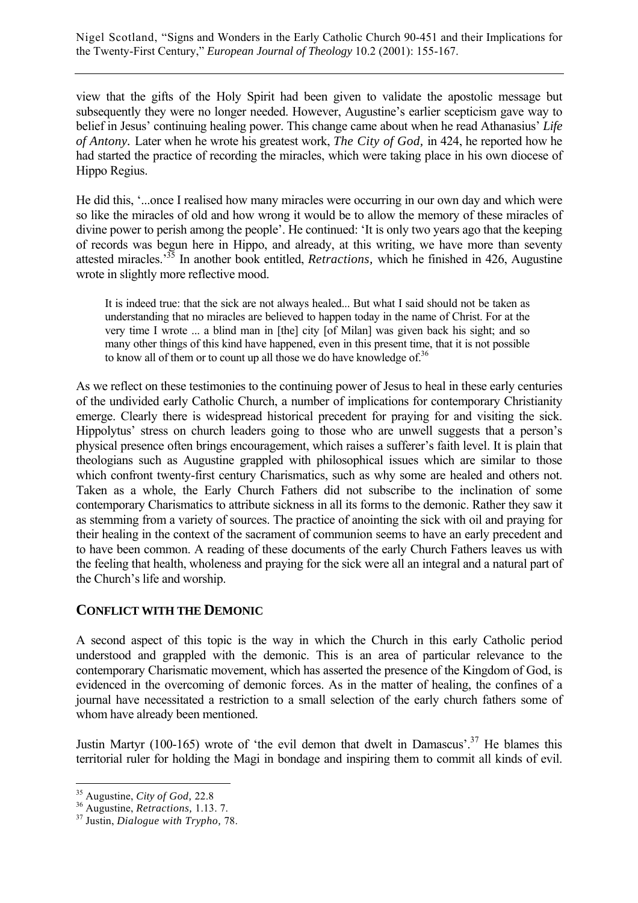view that the gifts of the Holy Spirit had been given to validate the apostolic message but subsequently they were no longer needed. However, Augustine's earlier scepticism gave way to belief in Jesus' continuing healing power. This change came about when he read Athanasius' *Life of Antony.* Later when he wrote his greatest work, *The City of God,* in 424, he reported how he had started the practice of recording the miracles, which were taking place in his own diocese of Hippo Regius.

He did this, '...once I realised how many miracles were occurring in our own day and which were so like the miracles of old and how wrong it would be to allow the memory of these miracles of divine power to perish among the people'. He continued: 'It is only two years ago that the keeping of records was begun here in Hippo, and already, at this writing, we have more than seventy attested miracles.'35 In another book entitled, *Retractions,* which he finished in 426, Augustine wrote in slightly more reflective mood.

It is indeed true: that the sick are not always healed... But what I said should not be taken as understanding that no miracles are believed to happen today in the name of Christ. For at the very time I wrote ... a blind man in [the] city [of Milan] was given back his sight; and so many other things of this kind have happened, even in this present time, that it is not possible to know all of them or to count up all those we do have knowledge of.<sup>36</sup>

As we reflect on these testimonies to the continuing power of Jesus to heal in these early centuries of the undivided early Catholic Church, a number of implications for contemporary Christianity emerge. Clearly there is widespread historical precedent for praying for and visiting the sick. Hippolytus' stress on church leaders going to those who are unwell suggests that a person's physical presence often brings encouragement, which raises a sufferer's faith level. It is plain that theologians such as Augustine grappled with philosophical issues which are similar to those which confront twenty-first century Charismatics, such as why some are healed and others not. Taken as a whole, the Early Church Fathers did not subscribe to the inclination of some contemporary Charismatics to attribute sickness in all its forms to the demonic. Rather they saw it as stemming from a variety of sources. The practice of anointing the sick with oil and praying for their healing in the context of the sacrament of communion seems to have an early precedent and to have been common. A reading of these documents of the early Church Fathers leaves us with the feeling that health, wholeness and praying for the sick were all an integral and a natural part of the Church's life and worship.

#### **CONFLICT WITH THE DEMONIC**

A second aspect of this topic is the way in which the Church in this early Catholic period understood and grappled with the demonic. This is an area of particular relevance to the contemporary Charismatic movement, which has asserted the presence of the Kingdom of God, is evidenced in the overcoming of demonic forces. As in the matter of healing, the confines of a journal have necessitated a restriction to a small selection of the early church fathers some of whom have already been mentioned.

Justin Martyr (100-165) wrote of 'the evil demon that dwelt in Damascus'.<sup>37</sup> He blames this territorial ruler for holding the Magi in bondage and inspiring them to commit all kinds of evil.

<sup>&</sup>lt;sup>35</sup> Augustine, City of God, 22.8

<sup>&</sup>lt;sup>36</sup> Augustine, *Retractions*, 1.13. 7.<br><sup>37</sup> Justin, *Dialogue with Trypho*, 78.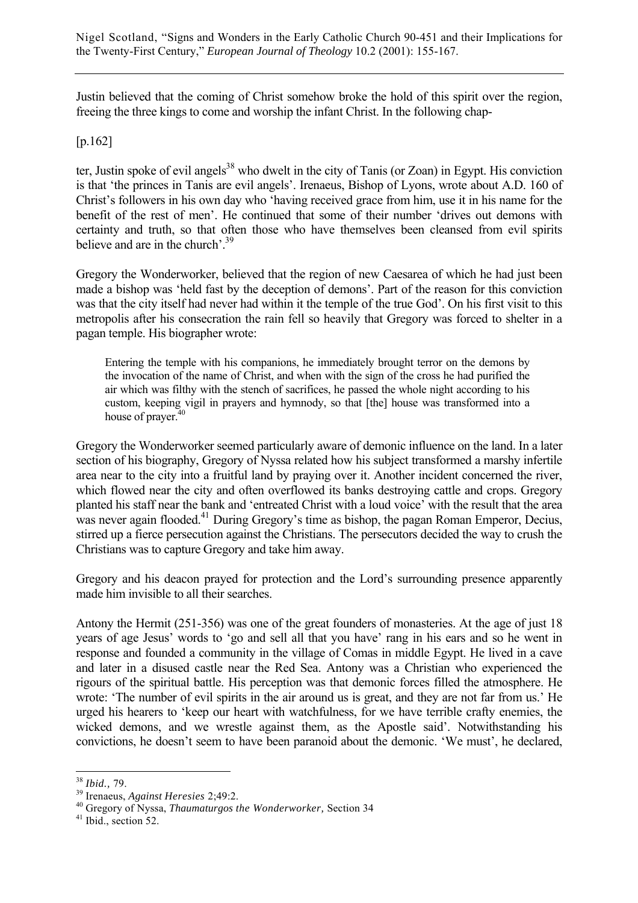Justin believed that the coming of Christ somehow broke the hold of this spirit over the region, freeing the three kings to come and worship the infant Christ. In the following chap-

### [p.162]

ter, Justin spoke of evil angels<sup>38</sup> who dwelt in the city of Tanis (or Zoan) in Egypt. His conviction is that 'the princes in Tanis are evil angels'. Irenaeus, Bishop of Lyons, wrote about A.D. 160 of Christ's followers in his own day who 'having received grace from him, use it in his name for the benefit of the rest of men'. He continued that some of their number 'drives out demons with certainty and truth, so that often those who have themselves been cleansed from evil spirits believe and are in the church'.<sup>39</sup>

Gregory the Wonderworker, believed that the region of new Caesarea of which he had just been made a bishop was 'held fast by the deception of demons'. Part of the reason for this conviction was that the city itself had never had within it the temple of the true God'. On his first visit to this metropolis after his consecration the rain fell so heavily that Gregory was forced to shelter in a pagan temple. His biographer wrote:

Entering the temple with his companions, he immediately brought terror on the demons by the invocation of the name of Christ, and when with the sign of the cross he had purified the air which was filthy with the stench of sacrifices, he passed the whole night according to his custom, keeping vigil in prayers and hymnody, so that [the] house was transformed into a house of prayer.<sup>40</sup>

Gregory the Wonderworker seemed particularly aware of demonic influence on the land. In a later section of his biography, Gregory of Nyssa related how his subject transformed a marshy infertile area near to the city into a fruitful land by praying over it. Another incident concerned the river, which flowed near the city and often overflowed its banks destroying cattle and crops. Gregory planted his staff near the bank and 'entreated Christ with a loud voice' with the result that the area was never again flooded.<sup>41</sup> During Gregory's time as bishop, the pagan Roman Emperor, Decius, stirred up a fierce persecution against the Christians. The persecutors decided the way to crush the Christians was to capture Gregory and take him away.

Gregory and his deacon prayed for protection and the Lord's surrounding presence apparently made him invisible to all their searches.

Antony the Hermit (251-356) was one of the great founders of monasteries. At the age of just 18 years of age Jesus' words to 'go and sell all that you have' rang in his ears and so he went in response and founded a community in the village of Comas in middle Egypt. He lived in a cave and later in a disused castle near the Red Sea. Antony was a Christian who experienced the rigours of the spiritual battle. His perception was that demonic forces filled the atmosphere. He wrote: 'The number of evil spirits in the air around us is great, and they are not far from us.' He urged his hearers to 'keep our heart with watchfulness, for we have terrible crafty enemies, the wicked demons, and we wrestle against them, as the Apostle said'. Notwithstanding his convictions, he doesn't seem to have been paranoid about the demonic. 'We must', he declared,

<sup>&</sup>lt;sup>38</sup> Ibid., 79.

<sup>&</sup>lt;sup>39</sup> Irenaeus, *Against Heresies* 2;49:2.<br><sup>40</sup> Gregory of Nyssa, *Thaumaturgos the Wonderworker*, Section 34<br><sup>41</sup> Ibid., section 52.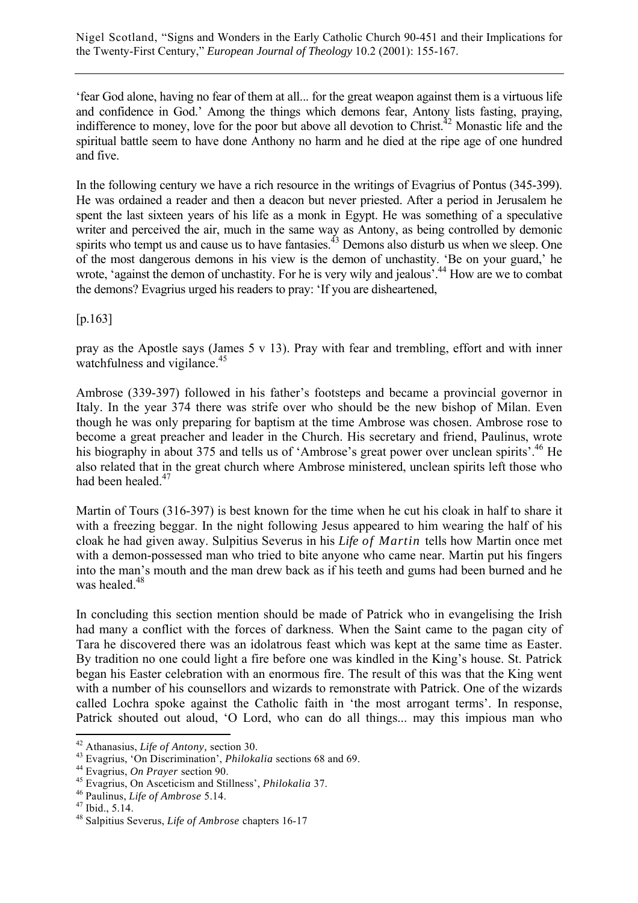'fear God alone, having no fear of them at all... for the great weapon against them is a virtuous life and confidence in God.' Among the things which demons fear, Antony lists fasting, praying, indifference to money, love for the poor but above all devotion to Christ.<sup>42</sup> Monastic life and the spiritual battle seem to have done Anthony no harm and he died at the ripe age of one hundred and five.

In the following century we have a rich resource in the writings of Evagrius of Pontus (345-399). He was ordained a reader and then a deacon but never priested. After a period in Jerusalem he spent the last sixteen years of his life as a monk in Egypt. He was something of a speculative writer and perceived the air, much in the same way as Antony, as being controlled by demonic spirits who tempt us and cause us to have fantasies.  $43$  Demons also disturb us when we sleep. One of the most dangerous demons in his view is the demon of unchastity. 'Be on your guard,' he wrote, 'against the demon of unchastity. For he is very wily and jealous'.<sup>44</sup> How are we to combat the demons? Evagrius urged his readers to pray: 'If you are disheartened,

[p.163]

pray as the Apostle says (James 5 v 13). Pray with fear and trembling, effort and with inner watchfulness and vigilance.<sup>45</sup>

Ambrose (339-397) followed in his father's footsteps and became a provincial governor in Italy. In the year 374 there was strife over who should be the new bishop of Milan. Even though he was only preparing for baptism at the time Ambrose was chosen. Ambrose rose to become a great preacher and leader in the Church. His secretary and friend, Paulinus, wrote his biography in about 375 and tells us of 'Ambrose's great power over unclean spirits'.<sup>46</sup> He also related that in the great church where Ambrose ministered, unclean spirits left those who had been healed.<sup>47</sup>

Martin of Tours (316-397) is best known for the time when he cut his cloak in half to share it with a freezing beggar. In the night following Jesus appeared to him wearing the half of his cloak he had given away. Sulpitius Severus in his *Life of Martin* tells how Martin once met with a demon-possessed man who tried to bite anyone who came near. Martin put his fingers into the man's mouth and the man drew back as if his teeth and gums had been burned and he was healed.<sup>48</sup>

In concluding this section mention should be made of Patrick who in evangelising the Irish had many a conflict with the forces of darkness. When the Saint came to the pagan city of Tara he discovered there was an idolatrous feast which was kept at the same time as Easter. By tradition no one could light a fire before one was kindled in the King's house. St. Patrick began his Easter celebration with an enormous fire. The result of this was that the King went with a number of his counsellors and wizards to remonstrate with Patrick. One of the wizards called Lochra spoke against the Catholic faith in 'the most arrogant terms'. In response, Patrick shouted out aloud, 'O Lord, who can do all things... may this impious man who

 $42$  Athanasius, Life of Antony, section 30.

<sup>&</sup>lt;sup>43</sup> Evagrius, 'On Discrimination', *Philokalia* sections 68 and 69.<br><sup>44</sup> Evagrius, *On Prayer* section 90.<br><sup>45</sup> Evagrius, On Asceticism and Stillness', *Philokalia* 37.<br><sup>46</sup> Paulinus, *Life of Ambrose* 5.14.<br><sup>47</sup> Ibid.,

<sup>48</sup> Salpitius Severus, *Life of Ambrose* chapters 16-17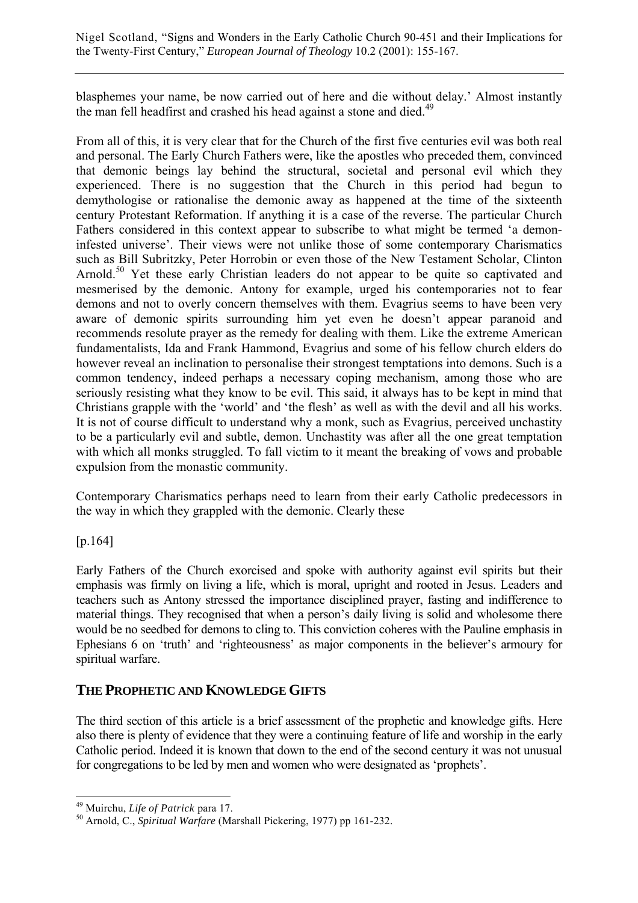blasphemes your name, be now carried out of here and die without delay.' Almost instantly the man fell headfirst and crashed his head against a stone and died.<sup>49</sup>

From all of this, it is very clear that for the Church of the first five centuries evil was both real and personal. The Early Church Fathers were, like the apostles who preceded them, convinced that demonic beings lay behind the structural, societal and personal evil which they experienced. There is no suggestion that the Church in this period had begun to demythologise or rationalise the demonic away as happened at the time of the sixteenth century Protestant Reformation. If anything it is a case of the reverse. The particular Church Fathers considered in this context appear to subscribe to what might be termed 'a demoninfested universe'. Their views were not unlike those of some contemporary Charismatics such as Bill Subritzky, Peter Horrobin or even those of the New Testament Scholar, Clinton Arnold.<sup>50</sup> Yet these early Christian leaders do not appear to be quite so captivated and mesmerised by the demonic. Antony for example, urged his contemporaries not to fear demons and not to overly concern themselves with them. Evagrius seems to have been very aware of demonic spirits surrounding him yet even he doesn't appear paranoid and recommends resolute prayer as the remedy for dealing with them. Like the extreme American fundamentalists, Ida and Frank Hammond, Evagrius and some of his fellow church elders do however reveal an inclination to personalise their strongest temptations into demons. Such is a common tendency, indeed perhaps a necessary coping mechanism, among those who are seriously resisting what they know to be evil. This said, it always has to be kept in mind that Christians grapple with the 'world' and 'the flesh' as well as with the devil and all his works. It is not of course difficult to understand why a monk, such as Evagrius, perceived unchastity to be a particularly evil and subtle, demon. Unchastity was after all the one great temptation with which all monks struggled. To fall victim to it meant the breaking of vows and probable expulsion from the monastic community.

Contemporary Charismatics perhaps need to learn from their early Catholic predecessors in the way in which they grappled with the demonic. Clearly these

[p.164]

 $\overline{a}$ 

Early Fathers of the Church exorcised and spoke with authority against evil spirits but their emphasis was firmly on living a life, which is moral, upright and rooted in Jesus. Leaders and teachers such as Antony stressed the importance disciplined prayer, fasting and indifference to material things. They recognised that when a person's daily living is solid and wholesome there would be no seedbed for demons to cling to. This conviction coheres with the Pauline emphasis in Ephesians 6 on 'truth' and 'righteousness' as major components in the believer's armoury for spiritual warfare.

## **THE PROPHETIC AND KNOWLEDGE GIFTS**

The third section of this article is a brief assessment of the prophetic and knowledge gifts. Here also there is plenty of evidence that they were a continuing feature of life and worship in the early Catholic period. Indeed it is known that down to the end of the second century it was not unusual for congregations to be led by men and women who were designated as 'prophets'.

<sup>&</sup>lt;sup>49</sup> Muirchu, *Life of Patrick* para 17.<br><sup>50</sup> Arnold, C., *Spiritual Warfare* (Marshall Pickering, 1977) pp 161-232.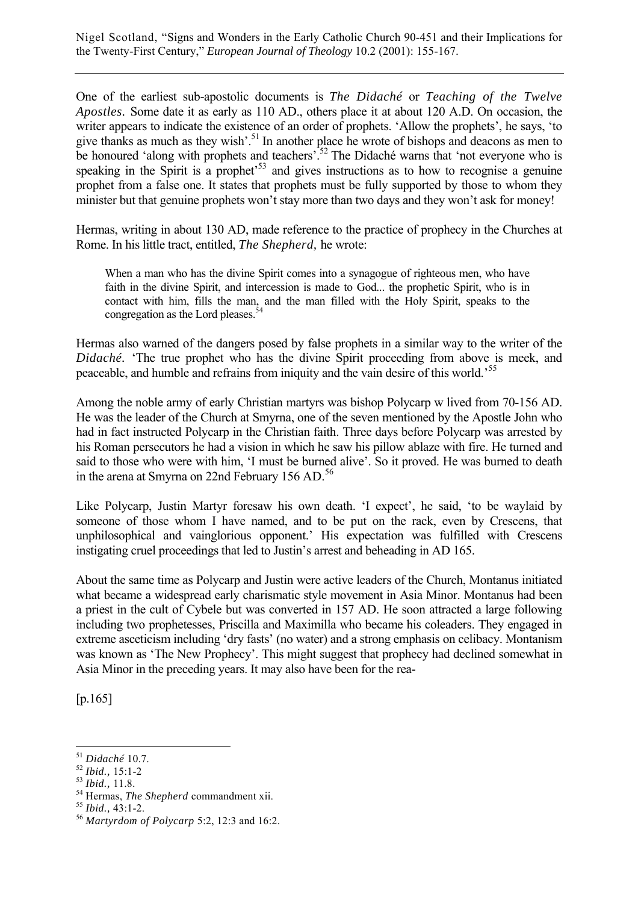One of the earliest sub-apostolic documents is *The Didaché* or *Teaching of the Twelve Apostles.* Some date it as early as 110 AD., others place it at about 120 A.D. On occasion, the writer appears to indicate the existence of an order of prophets. 'Allow the prophets', he says, 'to give thanks as much as they wish'.<sup>51</sup> In another place he wrote of bishops and deacons as men to be honoured 'along with prophets and teachers'.<sup>52</sup> The Didaché warns that 'not everyone who is speaking in the Spirit is a prophet<sup>553</sup> and gives instructions as to how to recognise a genuine prophet from a false one. It states that prophets must be fully supported by those to whom they minister but that genuine prophets won't stay more than two days and they won't ask for money!

Hermas, writing in about 130 AD, made reference to the practice of prophecy in the Churches at Rome. In his little tract, entitled, *The Shepherd,* he wrote:

When a man who has the divine Spirit comes into a synagogue of righteous men, who have faith in the divine Spirit, and intercession is made to God... the prophetic Spirit, who is in contact with him, fills the man, and the man filled with the Holy Spirit, speaks to the congregation as the Lord pleases.<sup>5</sup>

Hermas also warned of the dangers posed by false prophets in a similar way to the writer of the *Didaché.* 'The true prophet who has the divine Spirit proceeding from above is meek, and peaceable, and humble and refrains from iniquity and the vain desire of this world.'<sup>55</sup>

Among the noble army of early Christian martyrs was bishop Polycarp w lived from 70-156 AD. He was the leader of the Church at Smyrna, one of the seven mentioned by the Apostle John who had in fact instructed Polycarp in the Christian faith. Three days before Polycarp was arrested by his Roman persecutors he had a vision in which he saw his pillow ablaze with fire. He turned and said to those who were with him, 'I must be burned alive'. So it proved. He was burned to death in the arena at Smyrna on 22nd February 156 AD.<sup>56</sup>

Like Polycarp, Justin Martyr foresaw his own death. 'I expect', he said, 'to be waylaid by someone of those whom I have named, and to be put on the rack, even by Crescens, that unphilosophical and vainglorious opponent.' His expectation was fulfilled with Crescens instigating cruel proceedings that led to Justin's arrest and beheading in AD 165.

About the same time as Polycarp and Justin were active leaders of the Church, Montanus initiated what became a widespread early charismatic style movement in Asia Minor. Montanus had been a priest in the cult of Cybele but was converted in 157 AD. He soon attracted a large following including two prophetesses, Priscilla and Maximilla who became his coleaders. They engaged in extreme asceticism including 'dry fasts' (no water) and a strong emphasis on celibacy. Montanism was known as 'The New Prophecy'. This might suggest that prophecy had declined somewhat in Asia Minor in the preceding years. It may also have been for the rea-

[p.165]

 $\overline{a}$ 

<sup>51</sup> *Didaché* 10.7. 52 *Ibid.,* 15:1-2 53 *Ibid.,* 11.8. 54 Hermas, *The Shepherd* commandment xii. 55 *Ibid.,* 43:1-2. 56 *Martyrdom of Polycarp* 5:2, 12:3 and 16:2.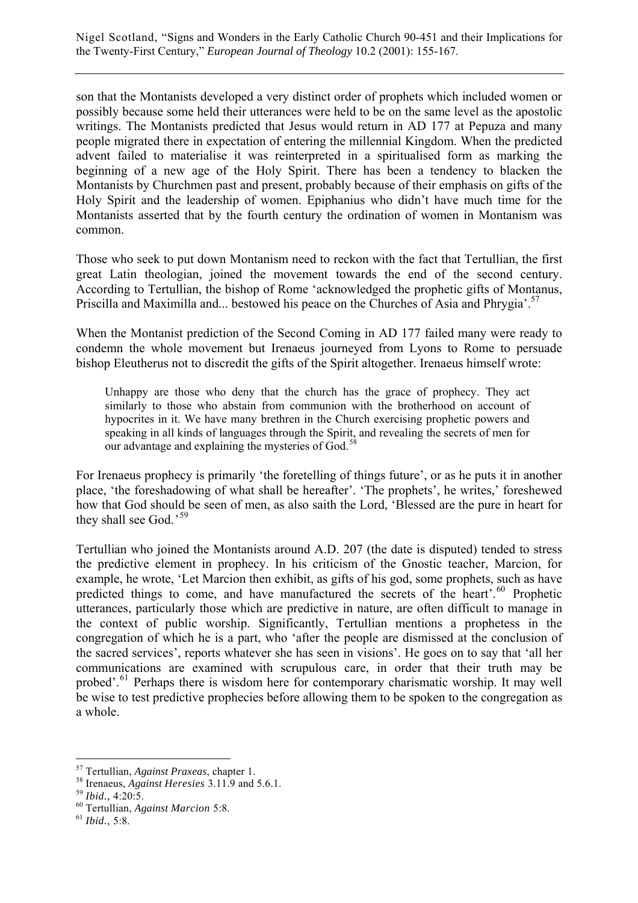son that the Montanists developed a very distinct order of prophets which included women or possibly because some held their utterances were held to be on the same level as the apostolic writings. The Montanists predicted that Jesus would return in AD 177 at Pepuza and many people migrated there in expectation of entering the millennial Kingdom. When the predicted advent failed to materialise it was reinterpreted in a spiritualised form as marking the beginning of a new age of the Holy Spirit. There has been a tendency to blacken the Montanists by Churchmen past and present, probably because of their emphasis on gifts of the Holy Spirit and the leadership of women. Epiphanius who didn't have much time for the Montanists asserted that by the fourth century the ordination of women in Montanism was common.

Those who seek to put down Montanism need to reckon with the fact that Tertullian, the first great Latin theologian, joined the movement towards the end of the second century. According to Tertullian, the bishop of Rome 'acknowledged the prophetic gifts of Montanus, Priscilla and Maximilla and... bestowed his peace on the Churches of Asia and Phrygia'.<sup>57</sup>

When the Montanist prediction of the Second Coming in AD 177 failed many were ready to condemn the whole movement but Irenaeus journeyed from Lyons to Rome to persuade bishop Eleutherus not to discredit the gifts of the Spirit altogether. Irenaeus himself wrote:

Unhappy are those who deny that the church has the grace of prophecy. They act similarly to those who abstain from communion with the brotherhood on account of hypocrites in it. We have many brethren in the Church exercising prophetic powers and speaking in all kinds of languages through the Spirit, and revealing the secrets of men for our advantage and explaining the mysteries of God.<sup>5</sup>

For Irenaeus prophecy is primarily 'the foretelling of things future', or as he puts it in another place, 'the foreshadowing of what shall be hereafter'. 'The prophets', he writes,' foreshewed how that God should be seen of men, as also saith the Lord, 'Blessed are the pure in heart for they shall see God.'<sup>59</sup>

Tertullian who joined the Montanists around A.D. 207 (the date is disputed) tended to stress the predictive element in prophecy. In his criticism of the Gnostic teacher, Marcion, for example, he wrote, 'Let Marcion then exhibit, as gifts of his god, some prophets, such as have predicted things to come, and have manufactured the secrets of the heart'.<sup>60</sup> Prophetic utterances, particularly those which are predictive in nature, are often difficult to manage in the context of public worship. Significantly, Tertullian mentions a prophetess in the congregation of which he is a part, who 'after the people are dismissed at the conclusion of the sacred services', reports whatever she has seen in visions'. He goes on to say that 'all her communications are examined with scrupulous care, in order that their truth may be probed'.<sup>61</sup> Perhaps there is wisdom here for contemporary charismatic worship. It may well be wise to test predictive prophecies before allowing them to be spoken to the congregation as a whole.

<sup>57</sup> Tertullian, *Against Praxeas*, chapter 1. 58 Irenaeus, *Against Heresies* 3.11.9 and 5.6.1. 59 *Ibid.,* 4:20:5. 60 Tertullian, *Against Marcion* 5:8. 61 *Ibid.,* 5:8.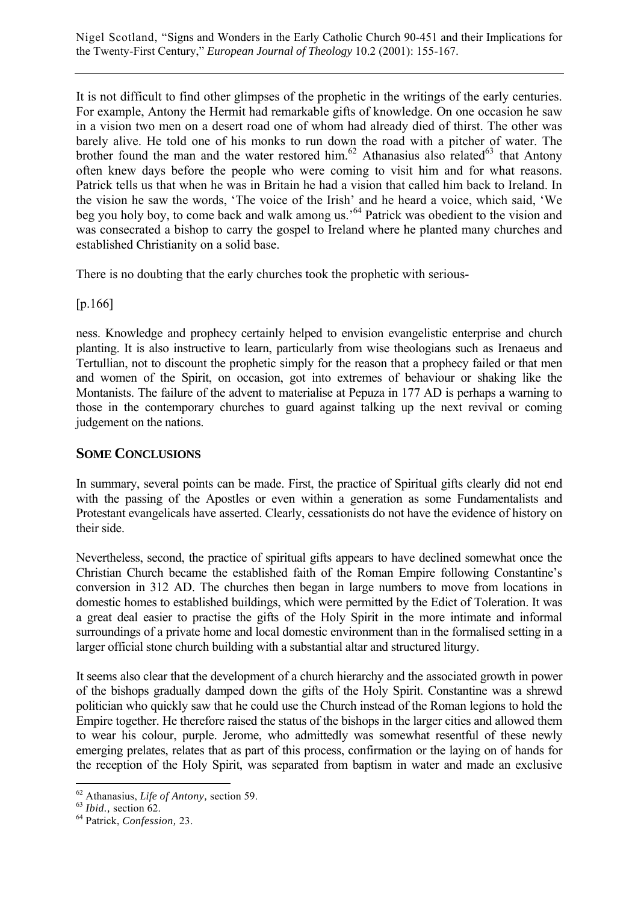It is not difficult to find other glimpses of the prophetic in the writings of the early centuries. For example, Antony the Hermit had remarkable gifts of knowledge. On one occasion he saw in a vision two men on a desert road one of whom had already died of thirst. The other was barely alive. He told one of his monks to run down the road with a pitcher of water. The brother found the man and the water restored him.<sup>62</sup> Athanasius also related<sup>63</sup> that Antony often knew days before the people who were coming to visit him and for what reasons. Patrick tells us that when he was in Britain he had a vision that called him back to Ireland. In the vision he saw the words, 'The voice of the Irish' and he heard a voice, which said, 'We beg you holy boy, to come back and walk among us.<sup>'64</sup> Patrick was obedient to the vision and was consecrated a bishop to carry the gospel to Ireland where he planted many churches and established Christianity on a solid base.

There is no doubting that the early churches took the prophetic with serious-

[p.166]

ness. Knowledge and prophecy certainly helped to envision evangelistic enterprise and church planting. It is also instructive to learn, particularly from wise theologians such as Irenaeus and Tertullian, not to discount the prophetic simply for the reason that a prophecy failed or that men and women of the Spirit, on occasion, got into extremes of behaviour or shaking like the Montanists. The failure of the advent to materialise at Pepuza in 177 AD is perhaps a warning to those in the contemporary churches to guard against talking up the next revival or coming judgement on the nations.

#### **SOME CONCLUSIONS**

In summary, several points can be made. First, the practice of Spiritual gifts clearly did not end with the passing of the Apostles or even within a generation as some Fundamentalists and Protestant evangelicals have asserted. Clearly, cessationists do not have the evidence of history on their side.

Nevertheless, second, the practice of spiritual gifts appears to have declined somewhat once the Christian Church became the established faith of the Roman Empire following Constantine's conversion in 312 AD. The churches then began in large numbers to move from locations in domestic homes to established buildings, which were permitted by the Edict of Toleration. It was a great deal easier to practise the gifts of the Holy Spirit in the more intimate and informal surroundings of a private home and local domestic environment than in the formalised setting in a larger official stone church building with a substantial altar and structured liturgy.

It seems also clear that the development of a church hierarchy and the associated growth in power of the bishops gradually damped down the gifts of the Holy Spirit. Constantine was a shrewd politician who quickly saw that he could use the Church instead of the Roman legions to hold the Empire together. He therefore raised the status of the bishops in the larger cities and allowed them to wear his colour, purple. Jerome, who admittedly was somewhat resentful of these newly emerging prelates, relates that as part of this process, confirmation or the laying on of hands for the reception of the Holy Spirit, was separated from baptism in water and made an exclusive

 $\overline{a}$ 62 Athanasius, *Life of Antony,* section 59. 63 *Ibid.,* section 62. 64 Patrick, *Confession,* 23.